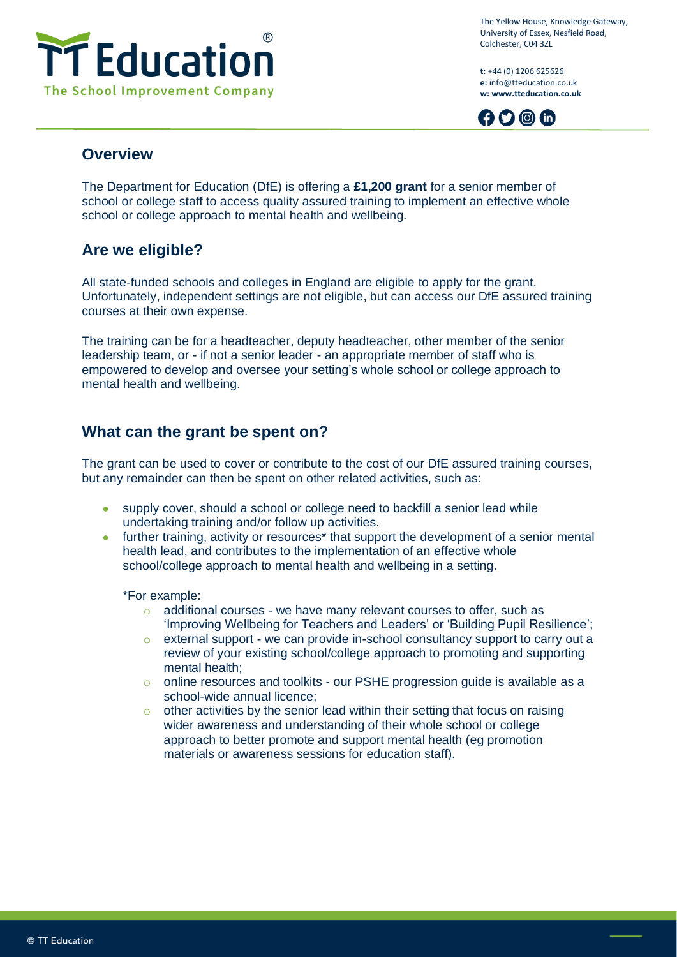

The Yellow House, Knowledge Gateway, University of Essex, Nesfield Road, Colchester, C04 3ZL

**t:** +44 (0) 1206 625626 **e:** info@tteducation.co.uk **w: www.tteducation.co.uk**



#### **Overview**

The Department for Education (DfE) is offering a **£1,200 grant** for a senior member of school or college staff to access quality assured training to implement an effective whole school or college approach to mental health and wellbeing.

# **Are we eligible?**

All state-funded schools and colleges in England are eligible to apply for the grant. Unfortunately, independent settings are not eligible, but can access our DfE assured training courses at their own expense.

The training can be for a headteacher, deputy headteacher, other member of the senior leadership team, or - if not a senior leader - an appropriate member of staff who is empowered to develop and oversee your setting's whole school or college approach to mental health and wellbeing.

# **What can the grant be spent on?**

The grant can be used to cover or contribute to the cost of our DfE assured training courses, but any remainder can then be spent on other related activities, such as:

- supply cover, should a school or college need to backfill a senior lead while undertaking training and/or follow up activities.
- further training, activity or resources<sup>\*</sup> that support the development of a senior mental health lead, and contributes to the implementation of an effective whole school/college approach to mental health and wellbeing in a setting.

\*For example:

- $\circ$  additional courses we have many relevant courses to offer, such as 'Improving Wellbeing for Teachers and Leaders' or 'Building Pupil Resilience';
- o external support we can provide in-school consultancy support to carry out a review of your existing school/college approach to promoting and supporting mental health;
- o online resources and toolkits our PSHE progression guide is available as a school-wide annual licence;
- $\circ$  other activities by the senior lead within their setting that focus on raising wider awareness and understanding of their whole school or college approach to better promote and support mental health (eg promotion materials or awareness sessions for education staff).